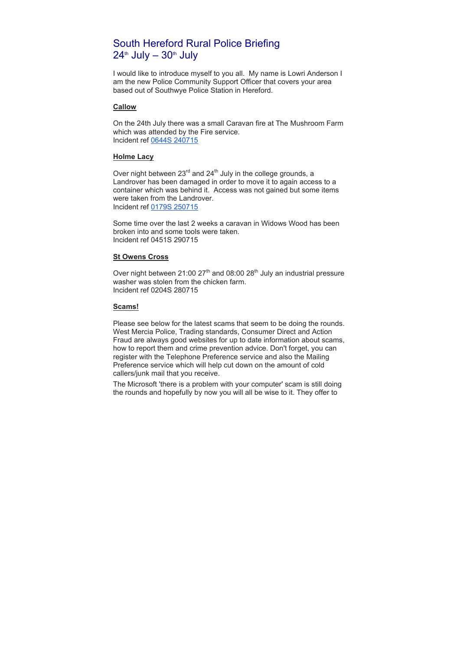# South Hereford Rural Police Briefing  $24<sup>th</sup>$  July –  $30<sup>th</sup>$  July

I would like to introduce myself to you all. My name is Lowri Anderson I am the new Police Community Support Officer that covers your area based out of Southwye Police Station in Hereford.

## **Callow**

On the 24th July there was a small Caravan fire at The Mushroom Farm which was attended by the Fire service. Incident ref 0644S 240715

# **Holme Lacy**

Over night between  $23^{\text{rd}}$  and  $24^{\text{th}}$  July in the college grounds, a Landrover has been damaged in order to move it to again access to a container which was behind it. Access was not gained but some items were taken from the Landrover. Incident ref 0179S 250715

Some time over the last 2 weeks a caravan in Widows Wood has been broken into and some tools were taken. Incident ref 0451S 290715

## **St Owens Cross**

Over night between 21:00  $27<sup>th</sup>$  and 08:00  $28<sup>th</sup>$  July an industrial pressure washer was stolen from the chicken farm. Incident ref 0204S 280715

#### **Scams!**

Please see below for the latest scams that seem to be doing the rounds. West Mercia Police, Trading standards, Consumer Direct and Action Fraud are always good websites for up to date information about scams, how to report them and crime prevention advice. Don't forget, you can register with the Telephone Preference service and also the Mailing Preference service which will help cut down on the amount of cold callers/junk mail that you receive.

The Microsoft 'there is a problem with your computer' scam is still doing the rounds and hopefully by now you will all be wise to it. They offer to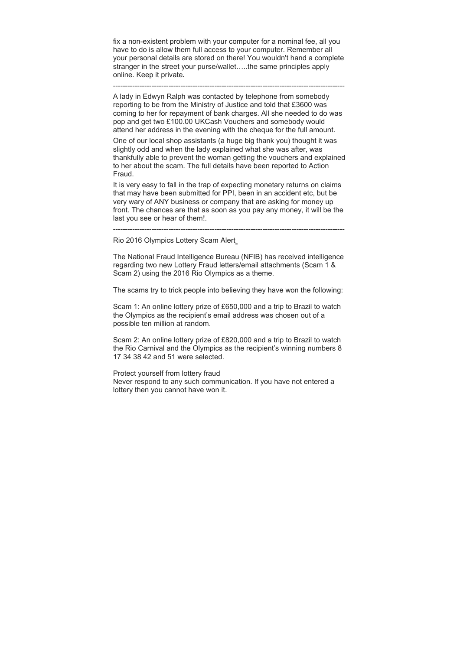fix a non-existent problem with your computer for a nominal fee, all you have to do is allow them full access to your computer. Remember all your personal details are stored on there! You wouldn't hand a complete stranger in the street your purse/wallet…..the same principles apply online. Keep it private**.**

------------------------------------------------------------------------------------------------

A lady in Edwyn Ralph was contacted by telephone from somebody reporting to be from the Ministry of Justice and told that £3600 was coming to her for repayment of bank charges. All she needed to do was pop and get two £100.00 UKCash Vouchers and somebody would attend her address in the evening with the cheque for the full amount.

One of our local shop assistants (a huge big thank you) thought it was slightly odd and when the lady explained what she was after, was thankfully able to prevent the woman getting the vouchers and explained to her about the scam. The full details have been reported to Action Fraud.

It is very easy to fall in the trap of expecting monetary returns on claims that may have been submitted for PPI, been in an accident etc, but be very wary of ANY business or company that are asking for money up front. The chances are that as soon as you pay any money, it will be the last you see or hear of them!.

------------------------------------------------------------------------------------------------

Rio 2016 Olympics Lottery Scam Alert

The National Fraud Intelligence Bureau (NFIB) has received intelligence regarding two new Lottery Fraud letters/email attachments (Scam 1 & Scam 2) using the 2016 Rio Olympics as a theme.

The scams try to trick people into believing they have won the following:

Scam 1: An online lottery prize of £650,000 and a trip to Brazil to watch the Olympics as the recipient's email address was chosen out of a possible ten million at random.

Scam 2: An online lottery prize of £820,000 and a trip to Brazil to watch the Rio Carnival and the Olympics as the recipient's winning numbers 8 17 34 38 42 and 51 were selected.

Protect yourself from lottery fraud

Never respond to any such communication. If you have not entered a lottery then you cannot have won it.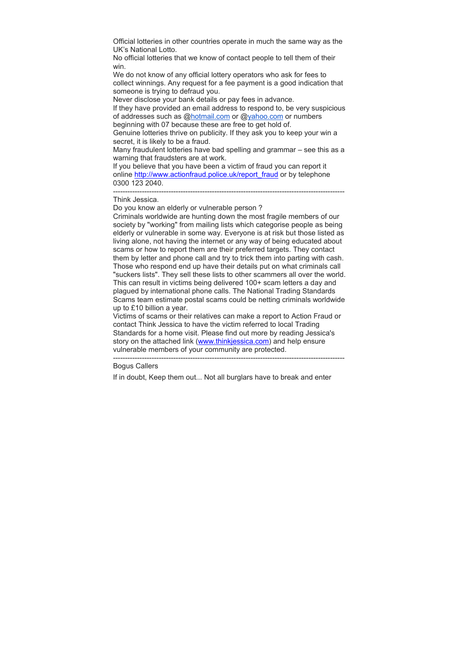Official lotteries in other countries operate in much the same way as the UK's National Lotto.

No official lotteries that we know of contact people to tell them of their win.

We do not know of any official lottery operators who ask for fees to collect winnings. Any request for a fee payment is a good indication that someone is trying to defraud you.

Never disclose your bank details or pay fees in advance.

If they have provided an email address to respond to, be very suspicious of addresses such as @hotmail.com or @yahoo.com or numbers beginning with 07 because these are free to get hold of.

Genuine lotteries thrive on publicity. If they ask you to keep your win a secret, it is likely to be a fraud.

Many fraudulent lotteries have bad spelling and grammar – see this as a warning that fraudsters are at work.

------------------------------------------------------------------------------------------------

If you believe that you have been a victim of fraud you can report it online http://www.actionfraud.police.uk/report\_fraud or by telephone 0300 123 2040.

#### Think Jessica.

Do you know an elderly or vulnerable person ?

Criminals worldwide are hunting down the most fragile members of our society by "working" from mailing lists which categorise people as being elderly or vulnerable in some way. Everyone is at risk but those listed as living alone, not having the internet or any way of being educated about scams or how to report them are their preferred targets. They contact them by letter and phone call and try to trick them into parting with cash. Those who respond end up have their details put on what criminals call "suckers lists". They sell these lists to other scammers all over the world. This can result in victims being delivered 100+ scam letters a day and plagued by international phone calls. The National Trading Standards Scams team estimate postal scams could be netting criminals worldwide up to £10 billion a year.

Victims of scams or their relatives can make a report to Action Fraud or contact Think Jessica to have the victim referred to local Trading Standards for a home visit. Please find out more by reading Jessica's story on the attached link (www.thinkjessica.com) and help ensure vulnerable members of your community are protected.

------------------------------------------------------------------------------------------------

#### Bogus Callers

If in doubt, Keep them out... Not all burglars have to break and enter